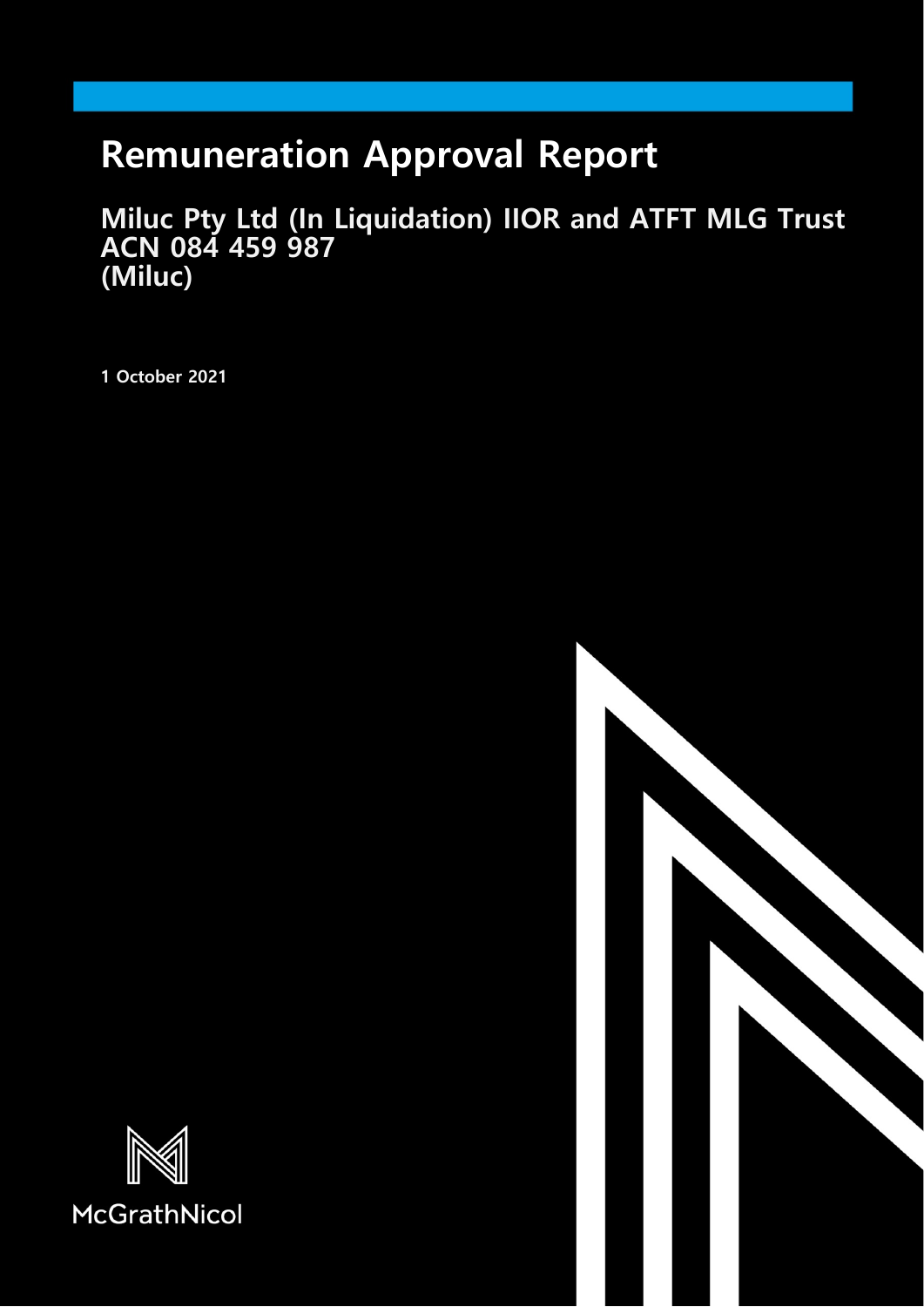# **Remuneration Approval Report**

**Miluc Pty Ltd (In Liquidation) IIOR and ATFT MLG Trust ACN 084 459 987 (Miluc)**

**1 October 2021**



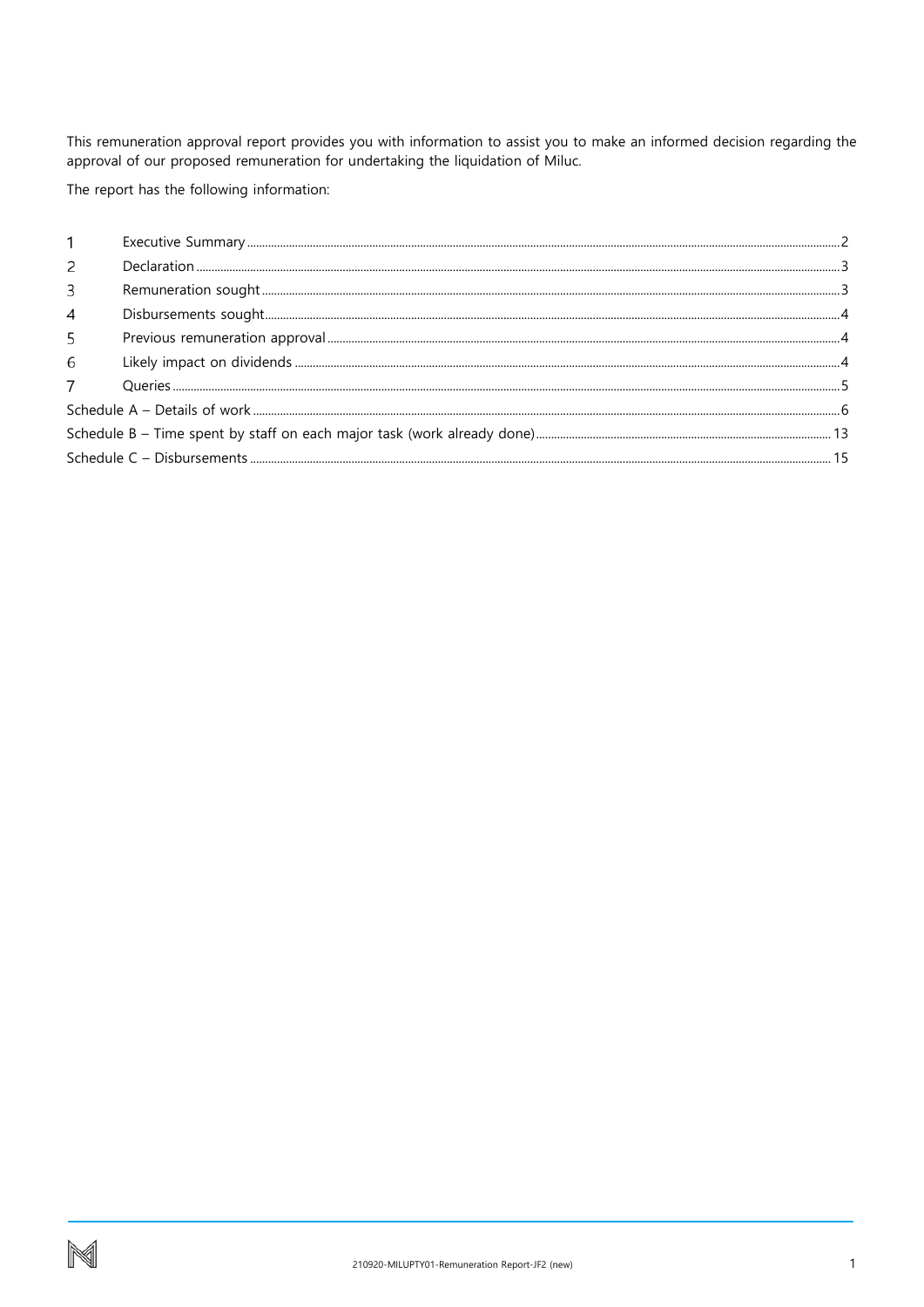This remuneration approval report provides you with information to assist you to make an informed decision regarding the approval of our proposed remuneration for undertaking the liquidation of Miluc.

The report has the following information:

| $\mathcal{P}$  |  |
|----------------|--|
| 3              |  |
| $\overline{A}$ |  |
| 5              |  |
| 6              |  |
|                |  |
|                |  |
|                |  |
|                |  |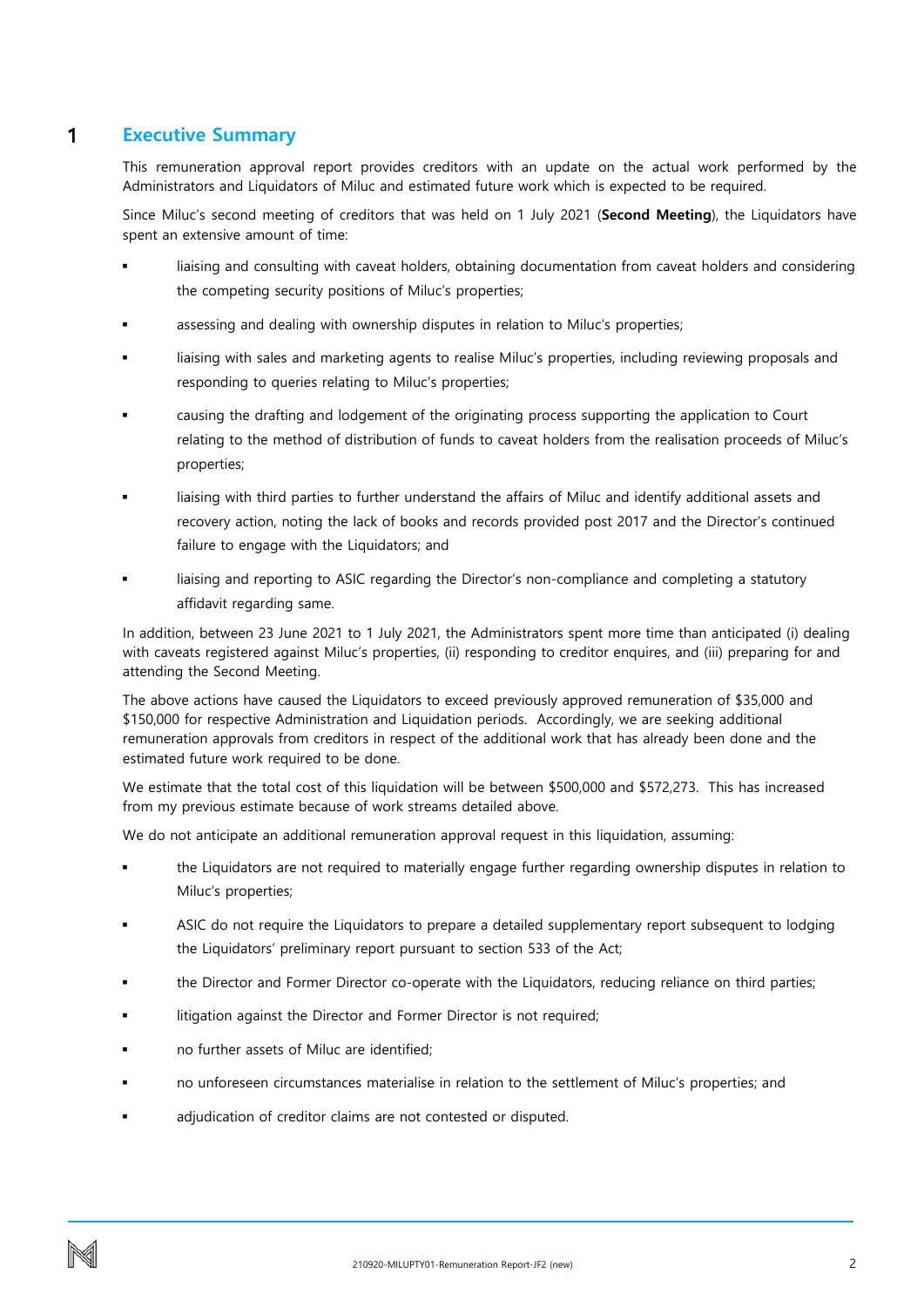#### <span id="page-2-0"></span>**Executive Summary** 1

This remuneration approval report provides creditors with an update on the actual work performed by the Administrators and Liquidators of Miluc and estimated future work which is expected to be required.

Since Miluc's second meeting of creditors that was held on 1 July 2021 (**Second Meeting**), the Liquidators have spent an extensive amount of time:

- liaising and consulting with caveat holders, obtaining documentation from caveat holders and considering the competing security positions of Miluc's properties;
- assessing and dealing with ownership disputes in relation to Miluc's properties;
- liaising with sales and marketing agents to realise Miluc's properties, including reviewing proposals and responding to queries relating to Miluc's properties;
- causing the drafting and lodgement of the originating process supporting the application to Court relating to the method of distribution of funds to caveat holders from the realisation proceeds of Miluc's properties;
- liaising with third parties to further understand the affairs of Miluc and identify additional assets and recovery action, noting the lack of books and records provided post 2017 and the Director's continued failure to engage with the Liquidators; and
- liaising and reporting to ASIC regarding the Director's non-compliance and completing a statutory affidavit regarding same.

In addition, between 23 June 2021 to 1 July 2021, the Administrators spent more time than anticipated (i) dealing with caveats registered against Miluc's properties, (ii) responding to creditor enquires, and (iii) preparing for and attending the Second Meeting.

The above actions have caused the Liquidators to exceed previously approved remuneration of \$35,000 and \$150,000 for respective Administration and Liquidation periods. Accordingly, we are seeking additional remuneration approvals from creditors in respect of the additional work that has already been done and the estimated future work required to be done.

We estimate that the total cost of this liquidation will be between \$500,000 and \$572,273. This has increased from my previous estimate because of work streams detailed above.

We do not anticipate an additional remuneration approval request in this liquidation, assuming:

- the Liquidators are not required to materially engage further regarding ownership disputes in relation to Miluc's properties;
- ASIC do not require the Liquidators to prepare a detailed supplementary report subsequent to lodging the Liquidators' preliminary report pursuant to section 533 of the Act;
- the Director and Former Director co-operate with the Liquidators, reducing reliance on third parties;
- litigation against the Director and Former Director is not required;
- no further assets of Miluc are identified;
- no unforeseen circumstances materialise in relation to the settlement of Miluc's properties; and
- adjudication of creditor claims are not contested or disputed.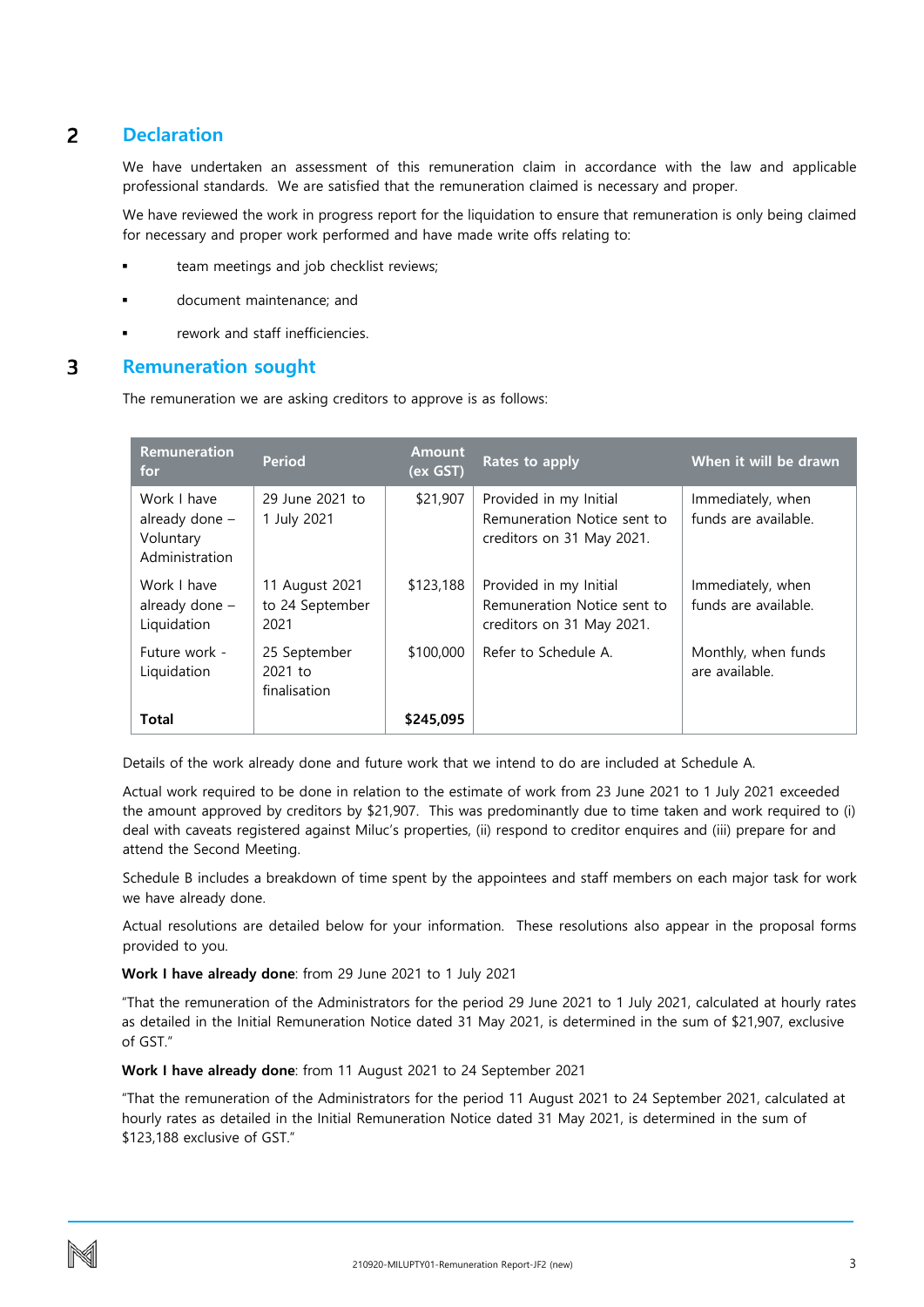#### <span id="page-3-0"></span> $\overline{2}$ **Declaration**

We have undertaken an assessment of this remuneration claim in accordance with the law and applicable professional standards. We are satisfied that the remuneration claimed is necessary and proper.

We have reviewed the work in progress report for the liquidation to ensure that remuneration is only being claimed for necessary and proper work performed and have made write offs relating to:

- team meetings and job checklist reviews;
- document maintenance; and
- rework and staff inefficiencies.

#### <span id="page-3-1"></span>3 **Remuneration sought**

The remuneration we are asking creditors to approve is as follows:

| <b>Remuneration</b><br>for                                   | <b>Period</b>                             | <b>Amount</b><br>(ex GST) | Rates to apply                                                                     | When it will be drawn                     |
|--------------------------------------------------------------|-------------------------------------------|---------------------------|------------------------------------------------------------------------------------|-------------------------------------------|
| Work I have<br>already done -<br>Voluntary<br>Administration | 29 June 2021 to<br>1 July 2021            | \$21,907                  | Provided in my Initial<br>Remuneration Notice sent to<br>creditors on 31 May 2021. | Immediately, when<br>funds are available. |
| Work I have<br>already done -<br>Liquidation                 | 11 August 2021<br>to 24 September<br>2021 | \$123,188                 | Provided in my Initial<br>Remuneration Notice sent to<br>creditors on 31 May 2021. | Immediately, when<br>funds are available. |
| Future work -<br>Liquidation                                 | 25 September<br>2021 to<br>finalisation   | \$100,000                 | Refer to Schedule A.                                                               | Monthly, when funds<br>are available.     |
| Total                                                        |                                           | \$245,095                 |                                                                                    |                                           |

Details of the work already done and future work that we intend to do are included at Schedule A.

Actual work required to be done in relation to the estimate of work from 23 June 2021 to 1 July 2021 exceeded the amount approved by creditors by \$21,907. This was predominantly due to time taken and work required to (i) deal with caveats registered against Miluc's properties, (ii) respond to creditor enquires and (iii) prepare for and attend the Second Meeting.

Schedule B includes a breakdown of time spent by the appointees and staff members on each major task for work we have already done.

Actual resolutions are detailed below for your information. These resolutions also appear in the proposal forms provided to you.

### **Work I have already done**: from 29 June 2021 to 1 July 2021

"That the remuneration of the Administrators for the period 29 June 2021 to 1 July 2021, calculated at hourly rates as detailed in the Initial Remuneration Notice dated 31 May 2021, is determined in the sum of \$21,907, exclusive of GST."

**Work I have already done**: from 11 August 2021 to 24 September 2021

"That the remuneration of the Administrators for the period 11 August 2021 to 24 September 2021, calculated at hourly rates as detailed in the Initial Remuneration Notice dated 31 May 2021, is determined in the sum of \$123,188 exclusive of GST."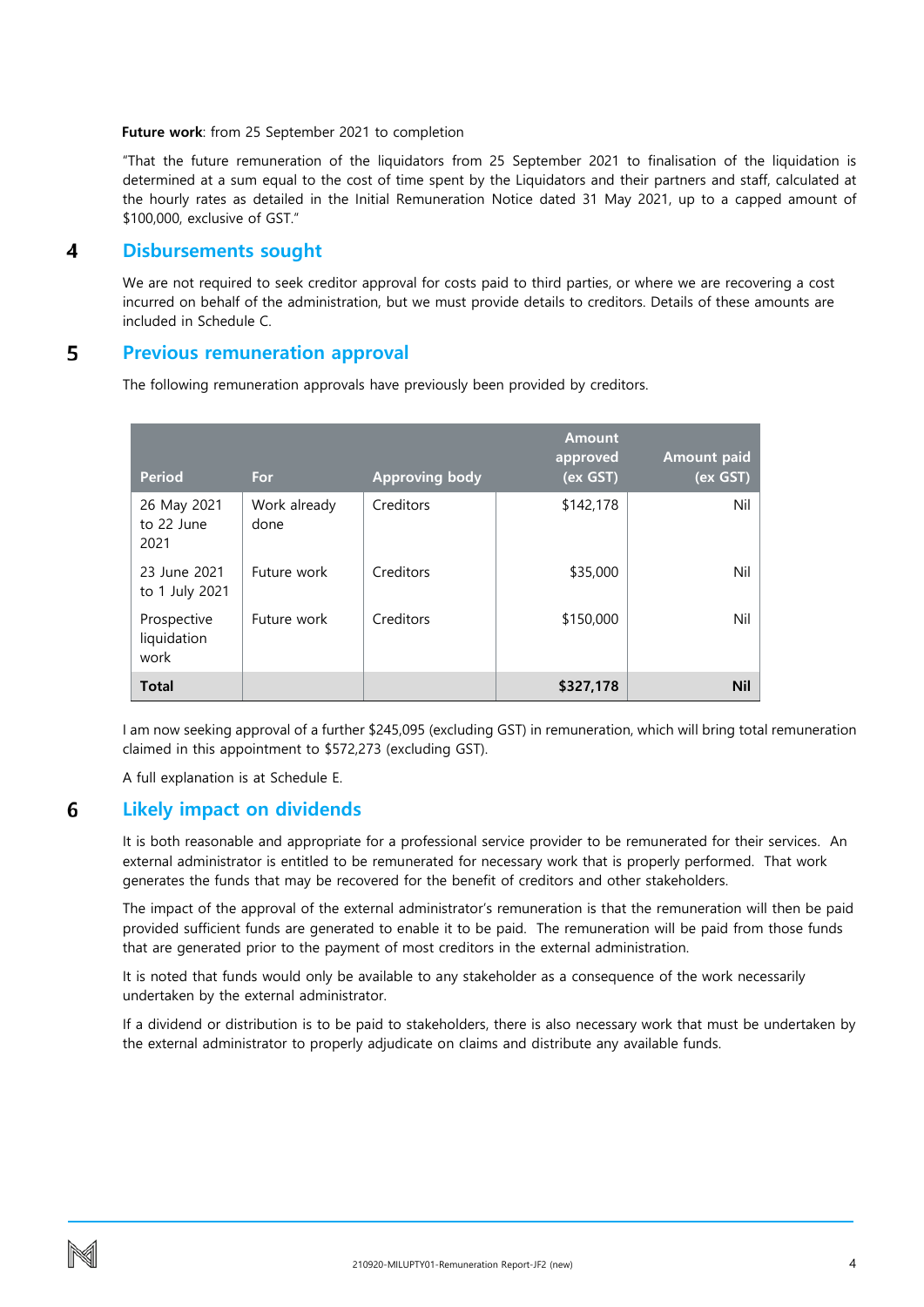### **Future work**: from 25 September 2021 to completion

"That the future remuneration of the liquidators from 25 September 2021 to finalisation of the liquidation is determined at a sum equal to the cost of time spent by the Liquidators and their partners and staff, calculated at the hourly rates as detailed in the Initial Remuneration Notice dated 31 May 2021, up to a capped amount of \$100,000, exclusive of GST."

#### <span id="page-4-0"></span>4 **Disbursements sought**

We are not required to seek creditor approval for costs paid to third parties, or where we are recovering a cost incurred on behalf of the administration, but we must provide details to creditors. Details of these amounts are included in Schedule C.

#### <span id="page-4-1"></span>5 **Previous remuneration approval**

The following remuneration approvals have previously been provided by creditors.

| Period                             | <b>For</b>           | <b>Approving body</b> | <b>Amount</b><br>approved<br>(ex GST) | <b>Amount paid</b><br>(ex GST) |
|------------------------------------|----------------------|-----------------------|---------------------------------------|--------------------------------|
| 26 May 2021<br>to 22 June<br>2021  | Work already<br>done | Creditors             | \$142,178                             | Nil                            |
| 23 June 2021<br>to 1 July 2021     | Future work          | Creditors             | \$35,000                              | Nil                            |
| Prospective<br>liquidation<br>work | Future work          | Creditors             | \$150,000                             | Nil                            |
| <b>Total</b>                       |                      |                       | \$327,178                             | <b>Nil</b>                     |

I am now seeking approval of a further \$245,095 (excluding GST) in remuneration, which will bring total remuneration claimed in this appointment to \$572,273 (excluding GST).

A full explanation is at Schedule E.

#### <span id="page-4-2"></span>6 **Likely impact on dividends**

It is both reasonable and appropriate for a professional service provider to be remunerated for their services. An external administrator is entitled to be remunerated for necessary work that is properly performed. That work generates the funds that may be recovered for the benefit of creditors and other stakeholders.

The impact of the approval of the external administrator's remuneration is that the remuneration will then be paid provided sufficient funds are generated to enable it to be paid. The remuneration will be paid from those funds that are generated prior to the payment of most creditors in the external administration.

It is noted that funds would only be available to any stakeholder as a consequence of the work necessarily undertaken by the external administrator.

If a dividend or distribution is to be paid to stakeholders, there is also necessary work that must be undertaken by the external administrator to properly adjudicate on claims and distribute any available funds.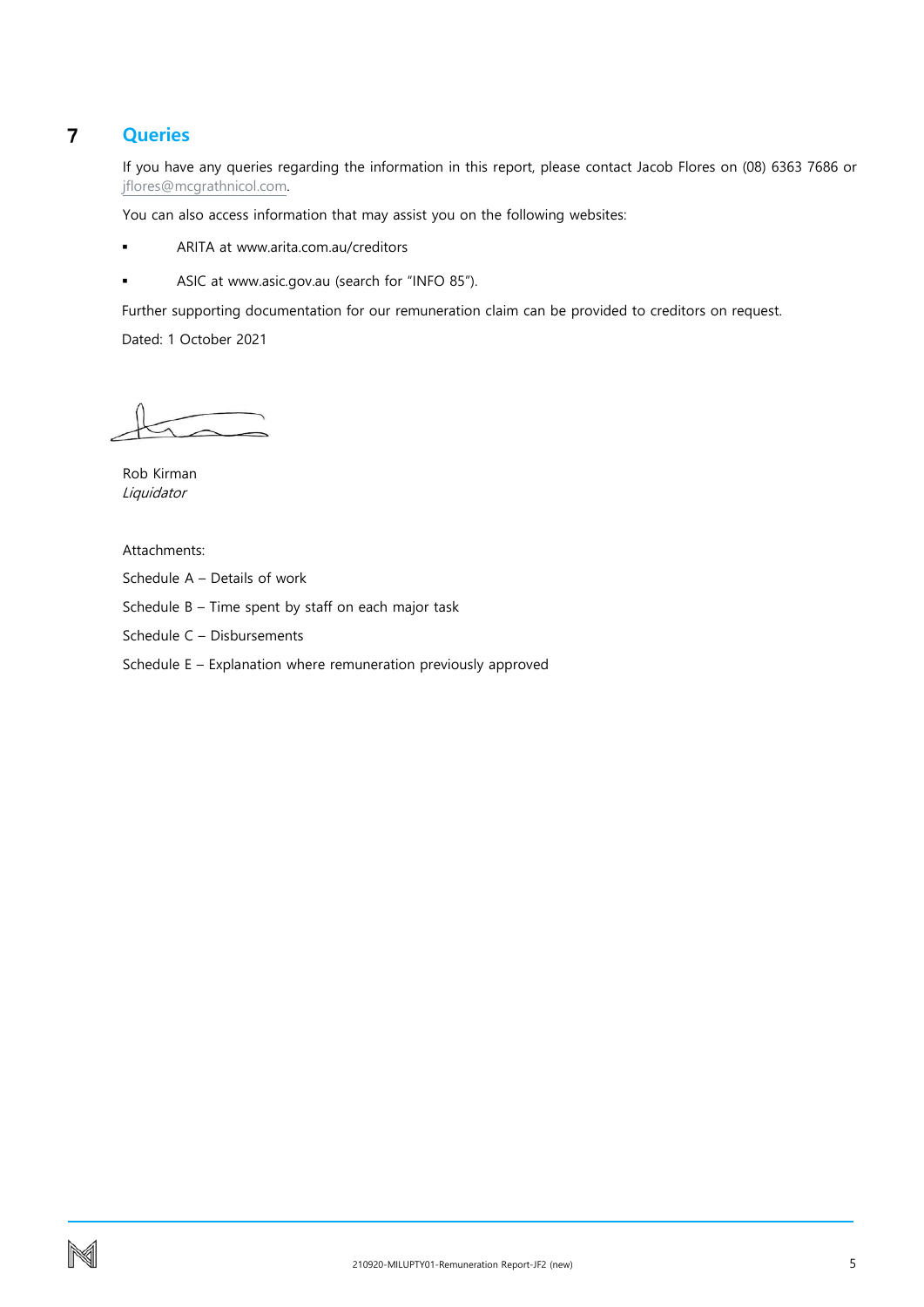#### <span id="page-5-0"></span> $\overline{7}$ **Queries**

If you have any queries regarding the information in this report, please contact Jacob Flores on (08) 6363 7686 or [jflores@mcgrathnicol.com.](mailto:jflores@mcgrathnicol.com) 

You can also access information that may assist you on the following websites:

- ARITA at www.arita.com.au/creditors
- ASIC at www.asic.gov.au (search for "INFO 85").

Further supporting documentation for our remuneration claim can be provided to creditors on request.

Dated: 1 October 2021

Rob Kirman Liquidator

Attachments:

Schedule A – Details of work

Schedule B – Time spent by staff on each major task

Schedule C – Disbursements

Schedule E – Explanation where remuneration previously approved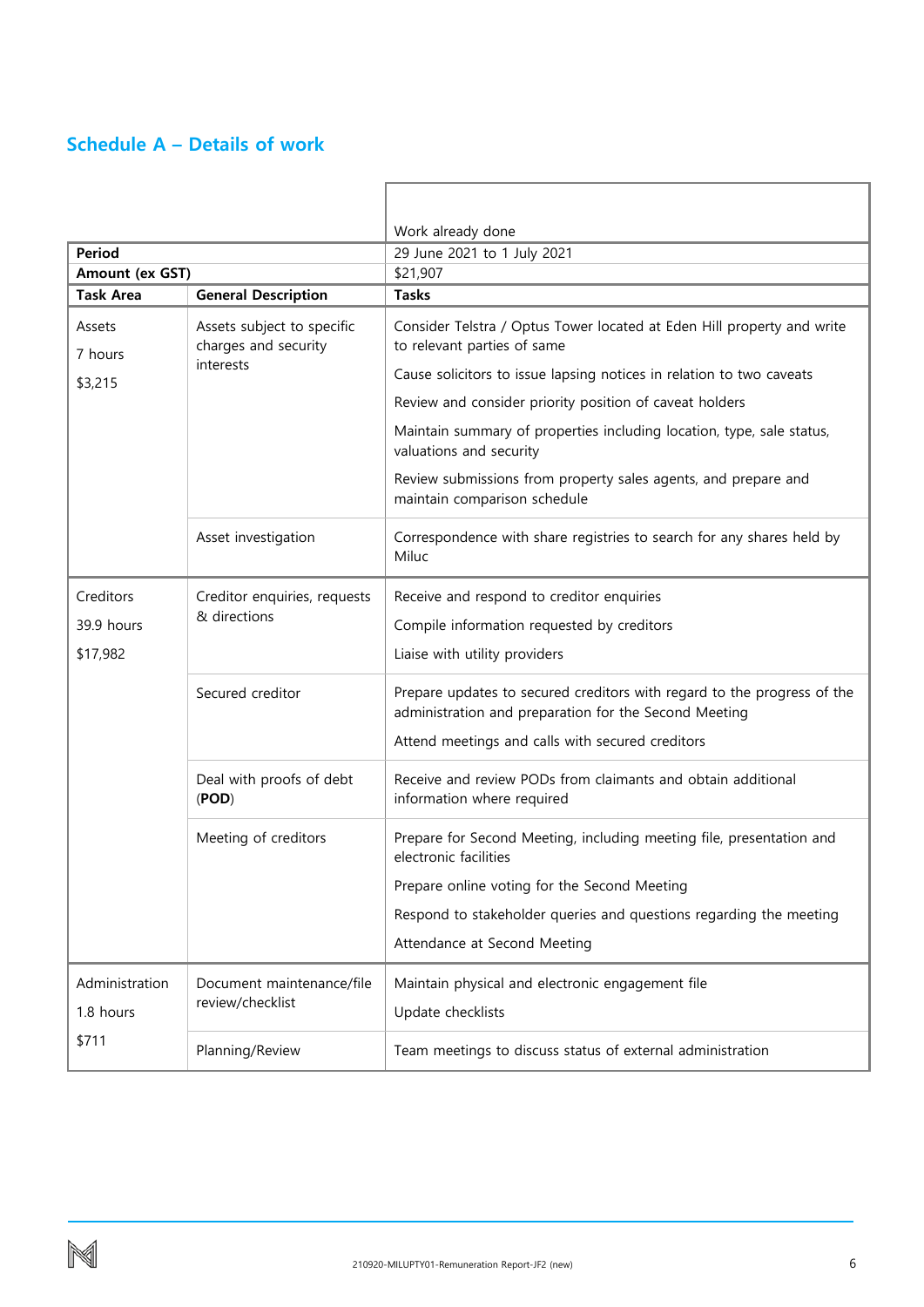# <span id="page-6-0"></span>**Schedule A – Details of work**

|                             |                                                    | Work already done                                                                                                                |  |  |  |  |  |
|-----------------------------|----------------------------------------------------|----------------------------------------------------------------------------------------------------------------------------------|--|--|--|--|--|
| <b>Period</b>               |                                                    | 29 June 2021 to 1 July 2021                                                                                                      |  |  |  |  |  |
| Amount (ex GST)             |                                                    | \$21,907                                                                                                                         |  |  |  |  |  |
| <b>Task Area</b>            | <b>General Description</b>                         | <b>Tasks</b>                                                                                                                     |  |  |  |  |  |
| Assets<br>7 hours           | Assets subject to specific<br>charges and security | Consider Telstra / Optus Tower located at Eden Hill property and write<br>to relevant parties of same                            |  |  |  |  |  |
| \$3,215                     | interests                                          | Cause solicitors to issue lapsing notices in relation to two caveats                                                             |  |  |  |  |  |
|                             |                                                    | Review and consider priority position of caveat holders                                                                          |  |  |  |  |  |
|                             |                                                    | Maintain summary of properties including location, type, sale status,<br>valuations and security                                 |  |  |  |  |  |
|                             |                                                    | Review submissions from property sales agents, and prepare and<br>maintain comparison schedule                                   |  |  |  |  |  |
|                             | Asset investigation                                | Correspondence with share registries to search for any shares held by<br>Miluc                                                   |  |  |  |  |  |
| Creditors                   | Creditor enquiries, requests                       | Receive and respond to creditor enquiries                                                                                        |  |  |  |  |  |
| 39.9 hours                  | & directions                                       | Compile information requested by creditors                                                                                       |  |  |  |  |  |
| \$17,982                    |                                                    | Liaise with utility providers                                                                                                    |  |  |  |  |  |
|                             | Secured creditor                                   | Prepare updates to secured creditors with regard to the progress of the<br>administration and preparation for the Second Meeting |  |  |  |  |  |
|                             |                                                    | Attend meetings and calls with secured creditors                                                                                 |  |  |  |  |  |
|                             | Deal with proofs of debt<br>(POD)                  | Receive and review PODs from claimants and obtain additional<br>information where required                                       |  |  |  |  |  |
|                             | Meeting of creditors                               | Prepare for Second Meeting, including meeting file, presentation and<br>electronic facilities                                    |  |  |  |  |  |
|                             |                                                    | Prepare online voting for the Second Meeting                                                                                     |  |  |  |  |  |
|                             |                                                    | Respond to stakeholder queries and questions regarding the meeting                                                               |  |  |  |  |  |
|                             |                                                    | Attendance at Second Meeting                                                                                                     |  |  |  |  |  |
| Administration<br>1.8 hours | Document maintenance/file<br>review/checklist      | Maintain physical and electronic engagement file<br>Update checklists                                                            |  |  |  |  |  |
| \$711                       | Planning/Review                                    | Team meetings to discuss status of external administration                                                                       |  |  |  |  |  |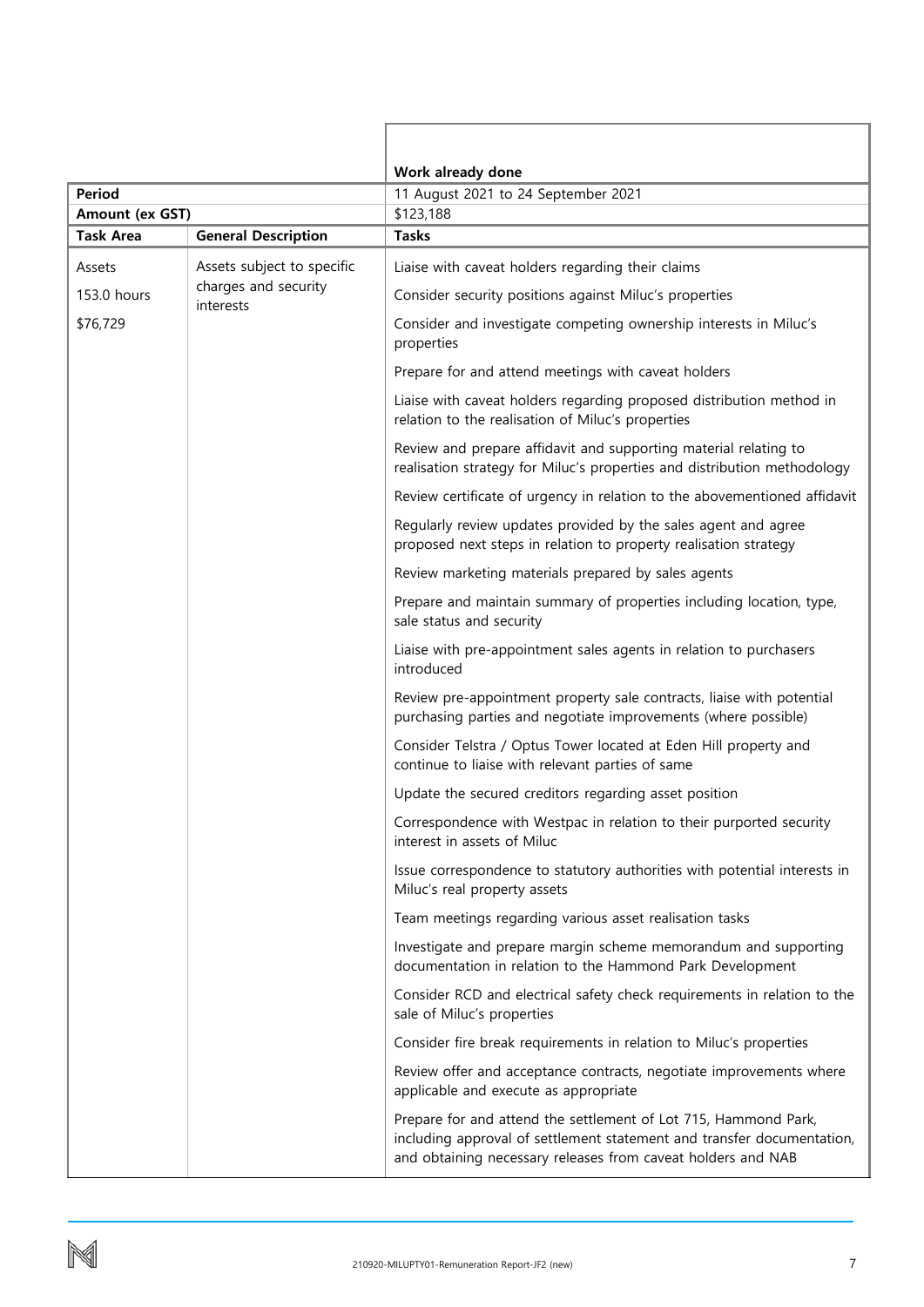|                  |                                   | Work already done                                                                                                                                                                                         |
|------------------|-----------------------------------|-----------------------------------------------------------------------------------------------------------------------------------------------------------------------------------------------------------|
| <b>Period</b>    |                                   | 11 August 2021 to 24 September 2021                                                                                                                                                                       |
| Amount (ex GST)  |                                   | \$123,188                                                                                                                                                                                                 |
| <b>Task Area</b> | <b>General Description</b>        | <b>Tasks</b>                                                                                                                                                                                              |
| Assets           | Assets subject to specific        | Liaise with caveat holders regarding their claims                                                                                                                                                         |
| 153.0 hours      | charges and security<br>interests | Consider security positions against Miluc's properties                                                                                                                                                    |
| \$76,729         |                                   | Consider and investigate competing ownership interests in Miluc's<br>properties                                                                                                                           |
|                  |                                   | Prepare for and attend meetings with caveat holders                                                                                                                                                       |
|                  |                                   | Liaise with caveat holders regarding proposed distribution method in<br>relation to the realisation of Miluc's properties                                                                                 |
|                  |                                   | Review and prepare affidavit and supporting material relating to<br>realisation strategy for Miluc's properties and distribution methodology                                                              |
|                  |                                   | Review certificate of urgency in relation to the abovementioned affidavit                                                                                                                                 |
|                  |                                   | Regularly review updates provided by the sales agent and agree<br>proposed next steps in relation to property realisation strategy                                                                        |
|                  |                                   | Review marketing materials prepared by sales agents                                                                                                                                                       |
|                  |                                   | Prepare and maintain summary of properties including location, type,<br>sale status and security                                                                                                          |
|                  |                                   | Liaise with pre-appointment sales agents in relation to purchasers<br>introduced                                                                                                                          |
|                  |                                   | Review pre-appointment property sale contracts, liaise with potential<br>purchasing parties and negotiate improvements (where possible)                                                                   |
|                  |                                   | Consider Telstra / Optus Tower located at Eden Hill property and<br>continue to liaise with relevant parties of same                                                                                      |
|                  |                                   | Update the secured creditors regarding asset position                                                                                                                                                     |
|                  |                                   | Correspondence with Westpac in relation to their purported security<br>interest in assets of Miluc                                                                                                        |
|                  |                                   | Issue correspondence to statutory authorities with potential interests in<br>Miluc's real property assets                                                                                                 |
|                  |                                   | Team meetings regarding various asset realisation tasks                                                                                                                                                   |
|                  |                                   | Investigate and prepare margin scheme memorandum and supporting<br>documentation in relation to the Hammond Park Development                                                                              |
|                  |                                   | Consider RCD and electrical safety check requirements in relation to the<br>sale of Miluc's properties                                                                                                    |
|                  |                                   | Consider fire break requirements in relation to Miluc's properties                                                                                                                                        |
|                  |                                   | Review offer and acceptance contracts, negotiate improvements where<br>applicable and execute as appropriate                                                                                              |
|                  |                                   | Prepare for and attend the settlement of Lot 715, Hammond Park,<br>including approval of settlement statement and transfer documentation,<br>and obtaining necessary releases from caveat holders and NAB |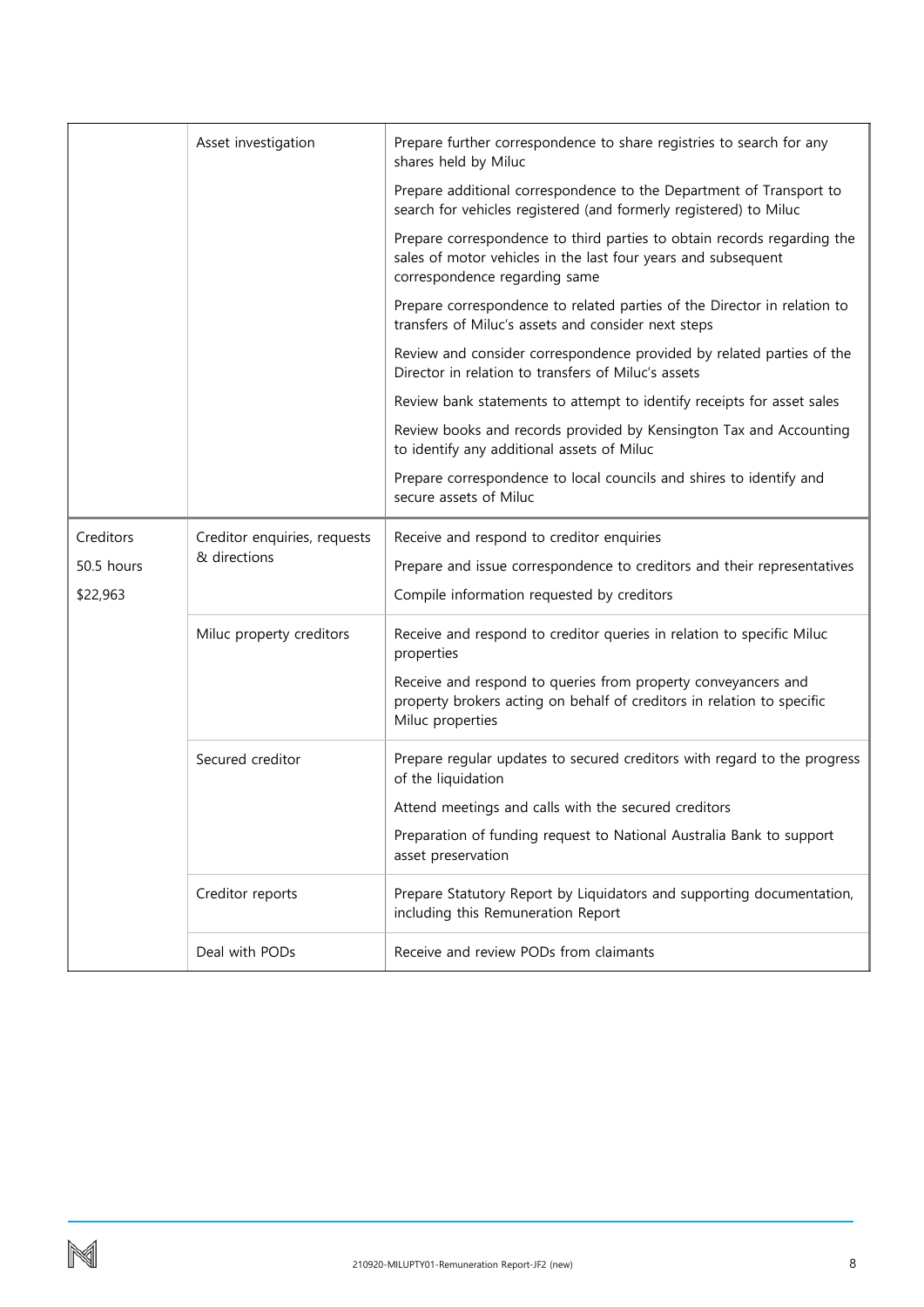|            | Asset investigation          | Prepare further correspondence to share registries to search for any<br>shares held by Miluc                                                                              |  |  |  |  |  |  |
|------------|------------------------------|---------------------------------------------------------------------------------------------------------------------------------------------------------------------------|--|--|--|--|--|--|
|            |                              | Prepare additional correspondence to the Department of Transport to<br>search for vehicles registered (and formerly registered) to Miluc                                  |  |  |  |  |  |  |
|            |                              | Prepare correspondence to third parties to obtain records regarding the<br>sales of motor vehicles in the last four years and subsequent<br>correspondence regarding same |  |  |  |  |  |  |
|            |                              | Prepare correspondence to related parties of the Director in relation to<br>transfers of Miluc's assets and consider next steps                                           |  |  |  |  |  |  |
|            |                              | Review and consider correspondence provided by related parties of the<br>Director in relation to transfers of Miluc's assets                                              |  |  |  |  |  |  |
|            |                              | Review bank statements to attempt to identify receipts for asset sales                                                                                                    |  |  |  |  |  |  |
|            |                              | Review books and records provided by Kensington Tax and Accounting<br>to identify any additional assets of Miluc                                                          |  |  |  |  |  |  |
|            |                              | Prepare correspondence to local councils and shires to identify and<br>secure assets of Miluc                                                                             |  |  |  |  |  |  |
| Creditors  | Creditor enquiries, requests | Receive and respond to creditor enquiries                                                                                                                                 |  |  |  |  |  |  |
| 50.5 hours | & directions                 | Prepare and issue correspondence to creditors and their representatives                                                                                                   |  |  |  |  |  |  |
| \$22,963   |                              | Compile information requested by creditors                                                                                                                                |  |  |  |  |  |  |
|            | Miluc property creditors     | Receive and respond to creditor queries in relation to specific Miluc<br>properties                                                                                       |  |  |  |  |  |  |
|            |                              | Receive and respond to queries from property conveyancers and<br>property brokers acting on behalf of creditors in relation to specific<br>Miluc properties               |  |  |  |  |  |  |
|            | Secured creditor             | Prepare regular updates to secured creditors with regard to the progress<br>of the liquidation                                                                            |  |  |  |  |  |  |
|            |                              | Attend meetings and calls with the secured creditors                                                                                                                      |  |  |  |  |  |  |
|            |                              | Preparation of funding request to National Australia Bank to support<br>asset preservation                                                                                |  |  |  |  |  |  |
|            | Creditor reports             | Prepare Statutory Report by Liquidators and supporting documentation,<br>including this Remuneration Report                                                               |  |  |  |  |  |  |
|            | Deal with PODs               | Receive and review PODs from claimants                                                                                                                                    |  |  |  |  |  |  |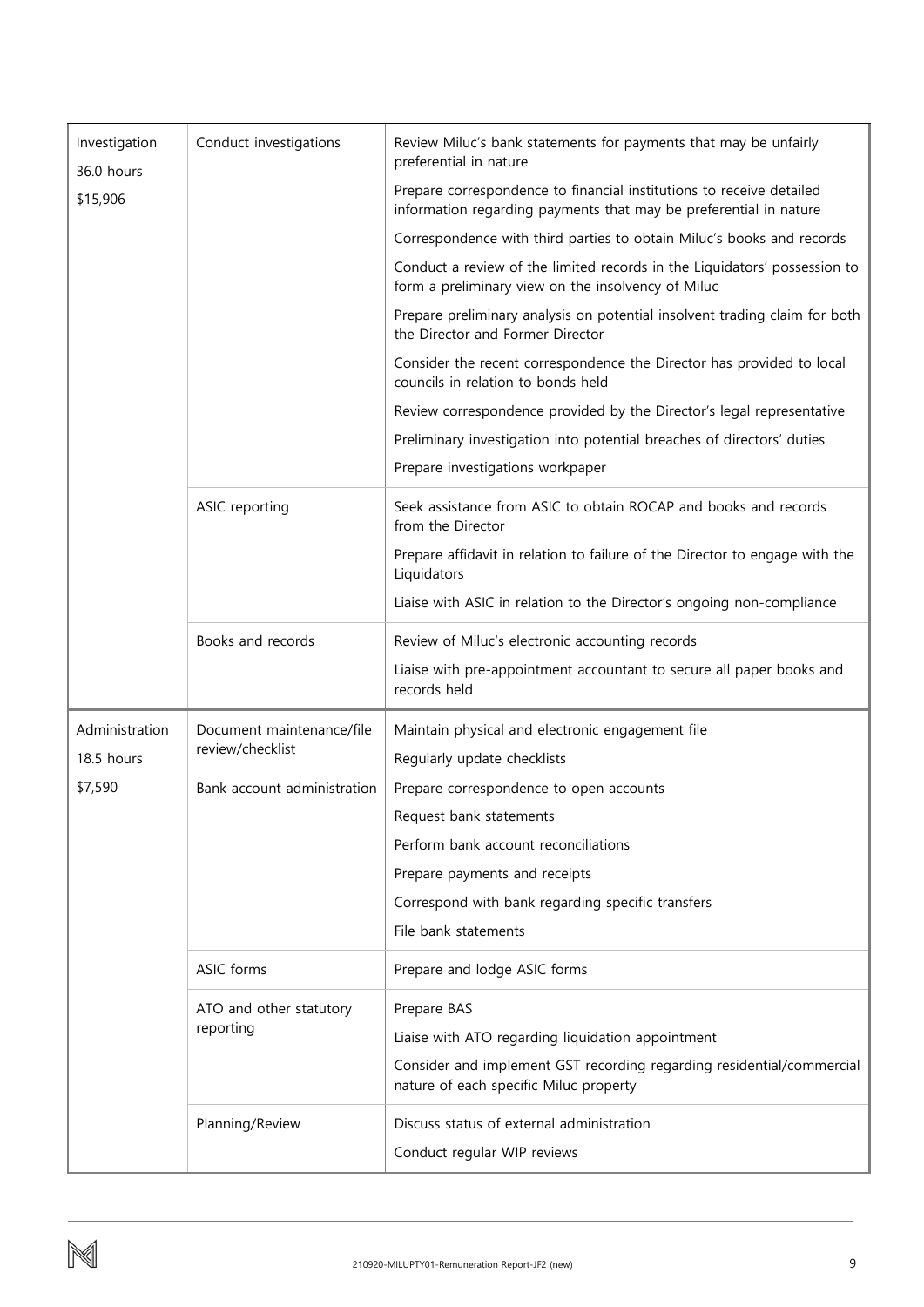| Investigation<br>36.0 hours | Conduct investigations      | Review Miluc's bank statements for payments that may be unfairly<br>preferential in nature                                                |  |  |  |  |  |
|-----------------------------|-----------------------------|-------------------------------------------------------------------------------------------------------------------------------------------|--|--|--|--|--|
| \$15,906                    |                             | Prepare correspondence to financial institutions to receive detailed<br>information regarding payments that may be preferential in nature |  |  |  |  |  |
|                             |                             | Correspondence with third parties to obtain Miluc's books and records                                                                     |  |  |  |  |  |
|                             |                             | Conduct a review of the limited records in the Liquidators' possession to<br>form a preliminary view on the insolvency of Miluc           |  |  |  |  |  |
|                             |                             | Prepare preliminary analysis on potential insolvent trading claim for both<br>the Director and Former Director                            |  |  |  |  |  |
|                             |                             | Consider the recent correspondence the Director has provided to local<br>councils in relation to bonds held                               |  |  |  |  |  |
|                             |                             | Review correspondence provided by the Director's legal representative                                                                     |  |  |  |  |  |
|                             |                             | Preliminary investigation into potential breaches of directors' duties                                                                    |  |  |  |  |  |
|                             |                             | Prepare investigations workpaper                                                                                                          |  |  |  |  |  |
|                             | ASIC reporting              | Seek assistance from ASIC to obtain ROCAP and books and records<br>from the Director                                                      |  |  |  |  |  |
|                             |                             | Prepare affidavit in relation to failure of the Director to engage with the<br>Liquidators                                                |  |  |  |  |  |
|                             |                             | Liaise with ASIC in relation to the Director's ongoing non-compliance                                                                     |  |  |  |  |  |
|                             | Books and records           | Review of Miluc's electronic accounting records                                                                                           |  |  |  |  |  |
|                             |                             | Liaise with pre-appointment accountant to secure all paper books and<br>records held                                                      |  |  |  |  |  |
| Administration              | Document maintenance/file   | Maintain physical and electronic engagement file                                                                                          |  |  |  |  |  |
| 18.5 hours                  | review/checklist            | Regularly update checklists                                                                                                               |  |  |  |  |  |
| \$7,590                     | Bank account administration | Prepare correspondence to open accounts                                                                                                   |  |  |  |  |  |
|                             |                             | Request bank statements                                                                                                                   |  |  |  |  |  |
|                             |                             | Perform bank account reconciliations                                                                                                      |  |  |  |  |  |
|                             |                             | Prepare payments and receipts                                                                                                             |  |  |  |  |  |
|                             |                             | Correspond with bank regarding specific transfers                                                                                         |  |  |  |  |  |
|                             |                             | File bank statements                                                                                                                      |  |  |  |  |  |
|                             | ASIC forms                  | Prepare and lodge ASIC forms                                                                                                              |  |  |  |  |  |
|                             | ATO and other statutory     | Prepare BAS                                                                                                                               |  |  |  |  |  |
|                             | reporting                   | Liaise with ATO regarding liquidation appointment                                                                                         |  |  |  |  |  |
|                             |                             | Consider and implement GST recording regarding residential/commercial<br>nature of each specific Miluc property                           |  |  |  |  |  |
|                             | Planning/Review             | Discuss status of external administration<br>Conduct regular WIP reviews                                                                  |  |  |  |  |  |
|                             |                             |                                                                                                                                           |  |  |  |  |  |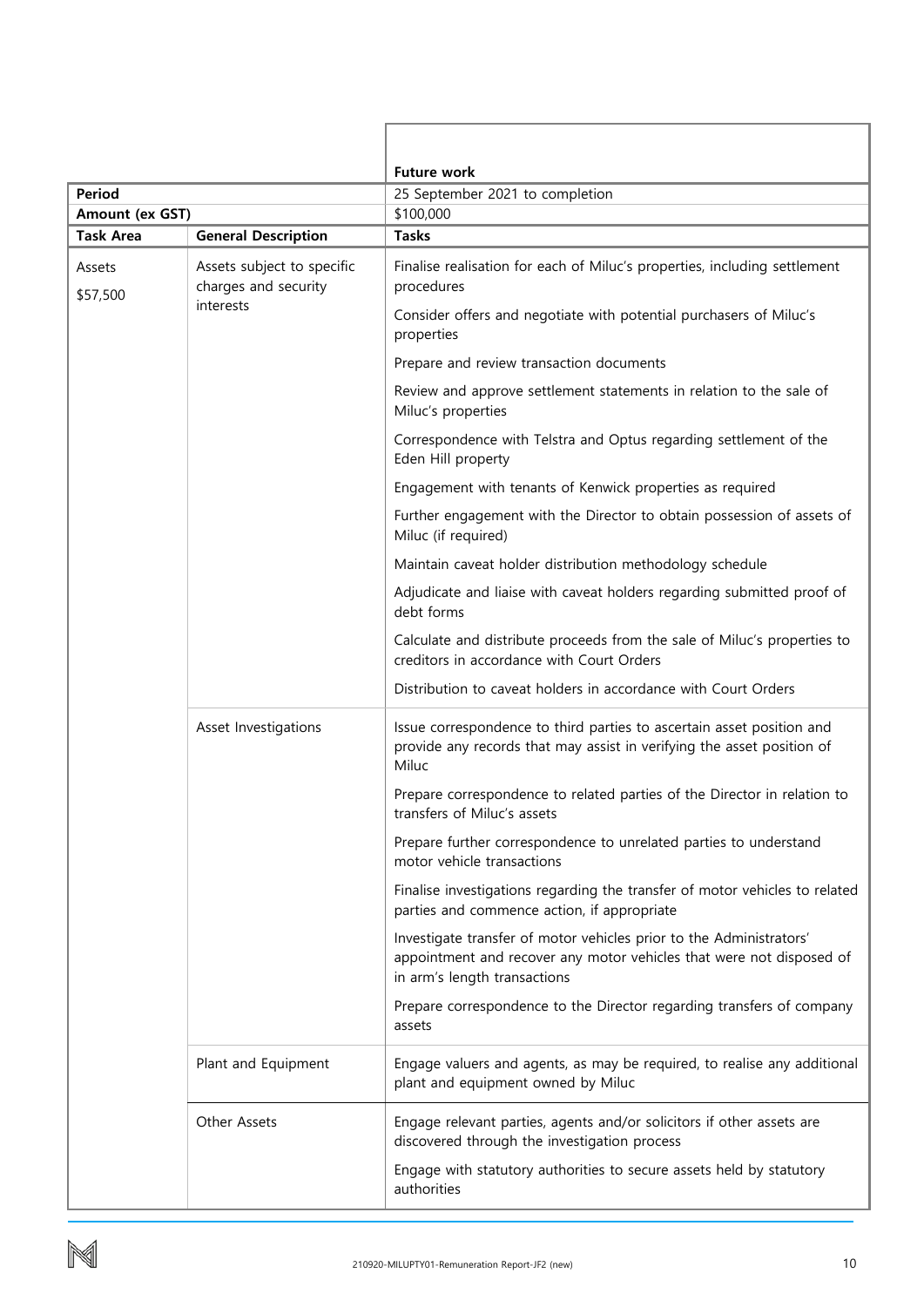|                    |                                                    | <b>Future work</b>                                                                                                                                                          |  |  |  |  |  |
|--------------------|----------------------------------------------------|-----------------------------------------------------------------------------------------------------------------------------------------------------------------------------|--|--|--|--|--|
| <b>Period</b>      |                                                    | 25 September 2021 to completion                                                                                                                                             |  |  |  |  |  |
| Amount (ex GST)    |                                                    | \$100,000                                                                                                                                                                   |  |  |  |  |  |
| <b>Task Area</b>   | <b>General Description</b>                         | <b>Tasks</b>                                                                                                                                                                |  |  |  |  |  |
| Assets<br>\$57,500 | Assets subject to specific<br>charges and security | Finalise realisation for each of Miluc's properties, including settlement<br>procedures                                                                                     |  |  |  |  |  |
|                    | interests                                          | Consider offers and negotiate with potential purchasers of Miluc's<br>properties                                                                                            |  |  |  |  |  |
|                    |                                                    | Prepare and review transaction documents                                                                                                                                    |  |  |  |  |  |
|                    |                                                    | Review and approve settlement statements in relation to the sale of<br>Miluc's properties                                                                                   |  |  |  |  |  |
|                    |                                                    | Correspondence with Telstra and Optus regarding settlement of the<br>Eden Hill property                                                                                     |  |  |  |  |  |
|                    |                                                    | Engagement with tenants of Kenwick properties as required                                                                                                                   |  |  |  |  |  |
|                    |                                                    | Further engagement with the Director to obtain possession of assets of<br>Miluc (if required)                                                                               |  |  |  |  |  |
|                    |                                                    | Maintain caveat holder distribution methodology schedule                                                                                                                    |  |  |  |  |  |
|                    |                                                    | Adjudicate and liaise with caveat holders regarding submitted proof of<br>debt forms                                                                                        |  |  |  |  |  |
|                    |                                                    | Calculate and distribute proceeds from the sale of Miluc's properties to<br>creditors in accordance with Court Orders                                                       |  |  |  |  |  |
|                    |                                                    | Distribution to caveat holders in accordance with Court Orders                                                                                                              |  |  |  |  |  |
|                    | Asset Investigations                               | Issue correspondence to third parties to ascertain asset position and<br>provide any records that may assist in verifying the asset position of<br>Miluc                    |  |  |  |  |  |
|                    |                                                    | Prepare correspondence to related parties of the Director in relation to<br>transfers of Miluc's assets                                                                     |  |  |  |  |  |
|                    |                                                    | Prepare further correspondence to unrelated parties to understand<br>motor vehicle transactions                                                                             |  |  |  |  |  |
|                    |                                                    | Finalise investigations regarding the transfer of motor vehicles to related<br>parties and commence action, if appropriate                                                  |  |  |  |  |  |
|                    |                                                    | Investigate transfer of motor vehicles prior to the Administrators'<br>appointment and recover any motor vehicles that were not disposed of<br>in arm's length transactions |  |  |  |  |  |
|                    |                                                    | Prepare correspondence to the Director regarding transfers of company<br>assets                                                                                             |  |  |  |  |  |
|                    | Plant and Equipment                                | Engage valuers and agents, as may be required, to realise any additional<br>plant and equipment owned by Miluc                                                              |  |  |  |  |  |
|                    | Other Assets                                       | Engage relevant parties, agents and/or solicitors if other assets are<br>discovered through the investigation process                                                       |  |  |  |  |  |
|                    |                                                    | Engage with statutory authorities to secure assets held by statutory<br>authorities                                                                                         |  |  |  |  |  |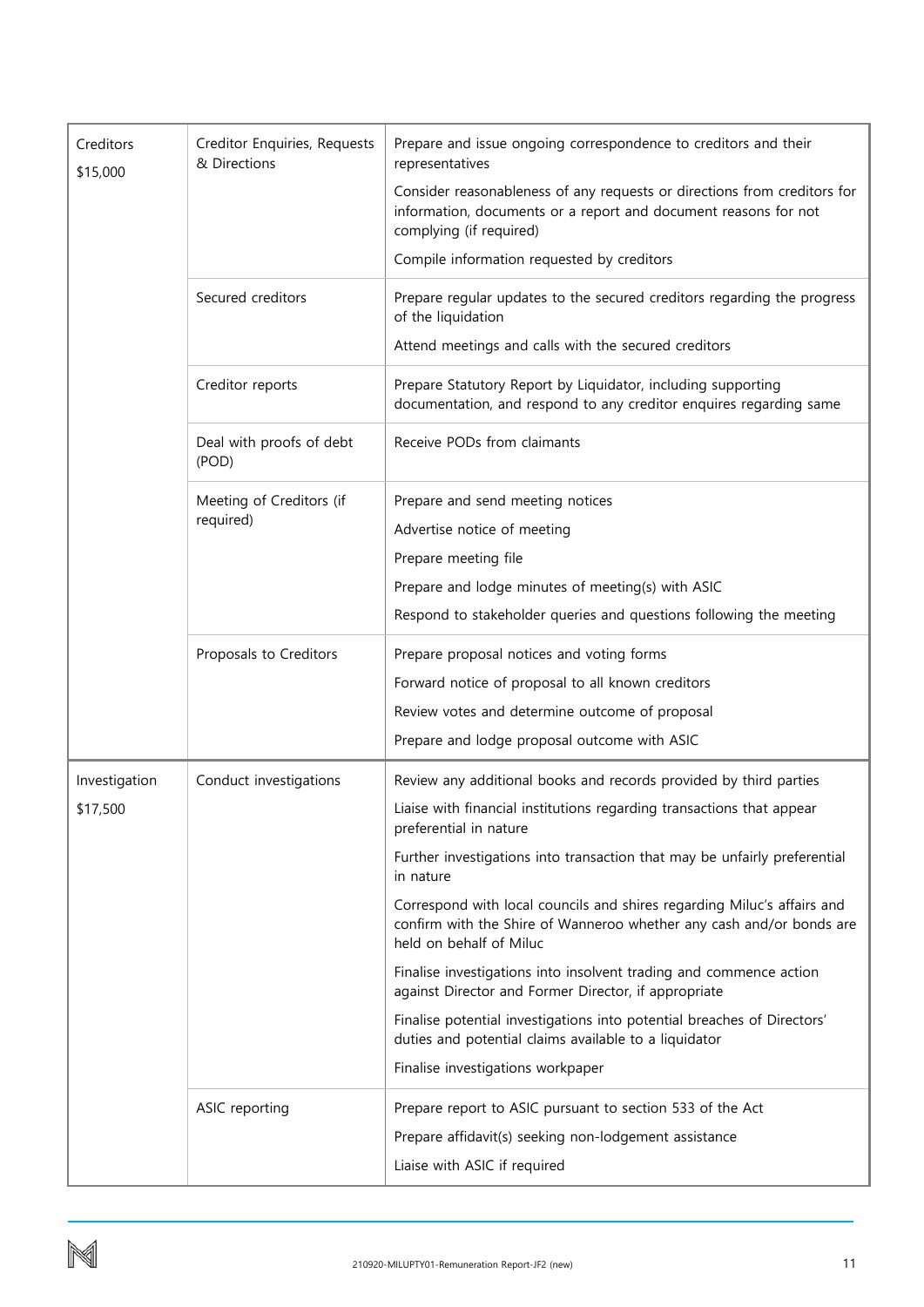| Creditors<br>\$15,000 | Creditor Enquiries, Requests<br>& Directions | Prepare and issue ongoing correspondence to creditors and their<br>representatives                                                                                         |  |  |  |  |  |  |
|-----------------------|----------------------------------------------|----------------------------------------------------------------------------------------------------------------------------------------------------------------------------|--|--|--|--|--|--|
|                       |                                              | Consider reasonableness of any requests or directions from creditors for<br>information, documents or a report and document reasons for not<br>complying (if required)     |  |  |  |  |  |  |
|                       |                                              | Compile information requested by creditors                                                                                                                                 |  |  |  |  |  |  |
|                       | Secured creditors                            | Prepare regular updates to the secured creditors regarding the progress<br>of the liquidation                                                                              |  |  |  |  |  |  |
|                       |                                              | Attend meetings and calls with the secured creditors                                                                                                                       |  |  |  |  |  |  |
|                       | Creditor reports                             | Prepare Statutory Report by Liquidator, including supporting<br>documentation, and respond to any creditor enquires regarding same                                         |  |  |  |  |  |  |
|                       | Deal with proofs of debt<br>(POD)            | Receive PODs from claimants                                                                                                                                                |  |  |  |  |  |  |
|                       | Meeting of Creditors (if                     | Prepare and send meeting notices                                                                                                                                           |  |  |  |  |  |  |
|                       | required)                                    | Advertise notice of meeting                                                                                                                                                |  |  |  |  |  |  |
|                       |                                              | Prepare meeting file                                                                                                                                                       |  |  |  |  |  |  |
|                       |                                              | Prepare and lodge minutes of meeting(s) with ASIC                                                                                                                          |  |  |  |  |  |  |
|                       |                                              | Respond to stakeholder queries and questions following the meeting                                                                                                         |  |  |  |  |  |  |
|                       | Proposals to Creditors                       | Prepare proposal notices and voting forms                                                                                                                                  |  |  |  |  |  |  |
|                       |                                              | Forward notice of proposal to all known creditors                                                                                                                          |  |  |  |  |  |  |
|                       |                                              | Review votes and determine outcome of proposal                                                                                                                             |  |  |  |  |  |  |
|                       |                                              | Prepare and lodge proposal outcome with ASIC                                                                                                                               |  |  |  |  |  |  |
| Investigation         | Conduct investigations                       | Review any additional books and records provided by third parties                                                                                                          |  |  |  |  |  |  |
| \$17,500              |                                              | Liaise with financial institutions regarding transactions that appear<br>preferential in nature                                                                            |  |  |  |  |  |  |
|                       |                                              | Further investigations into transaction that may be unfairly preferential<br>in nature                                                                                     |  |  |  |  |  |  |
|                       |                                              | Correspond with local councils and shires regarding Miluc's affairs and<br>confirm with the Shire of Wanneroo whether any cash and/or bonds are<br>held on behalf of Miluc |  |  |  |  |  |  |
|                       |                                              | Finalise investigations into insolvent trading and commence action<br>against Director and Former Director, if appropriate                                                 |  |  |  |  |  |  |
|                       |                                              | Finalise potential investigations into potential breaches of Directors'<br>duties and potential claims available to a liquidator                                           |  |  |  |  |  |  |
|                       |                                              | Finalise investigations workpaper                                                                                                                                          |  |  |  |  |  |  |
|                       | ASIC reporting                               | Prepare report to ASIC pursuant to section 533 of the Act                                                                                                                  |  |  |  |  |  |  |
|                       |                                              | Prepare affidavit(s) seeking non-lodgement assistance                                                                                                                      |  |  |  |  |  |  |
|                       |                                              | Liaise with ASIC if required                                                                                                                                               |  |  |  |  |  |  |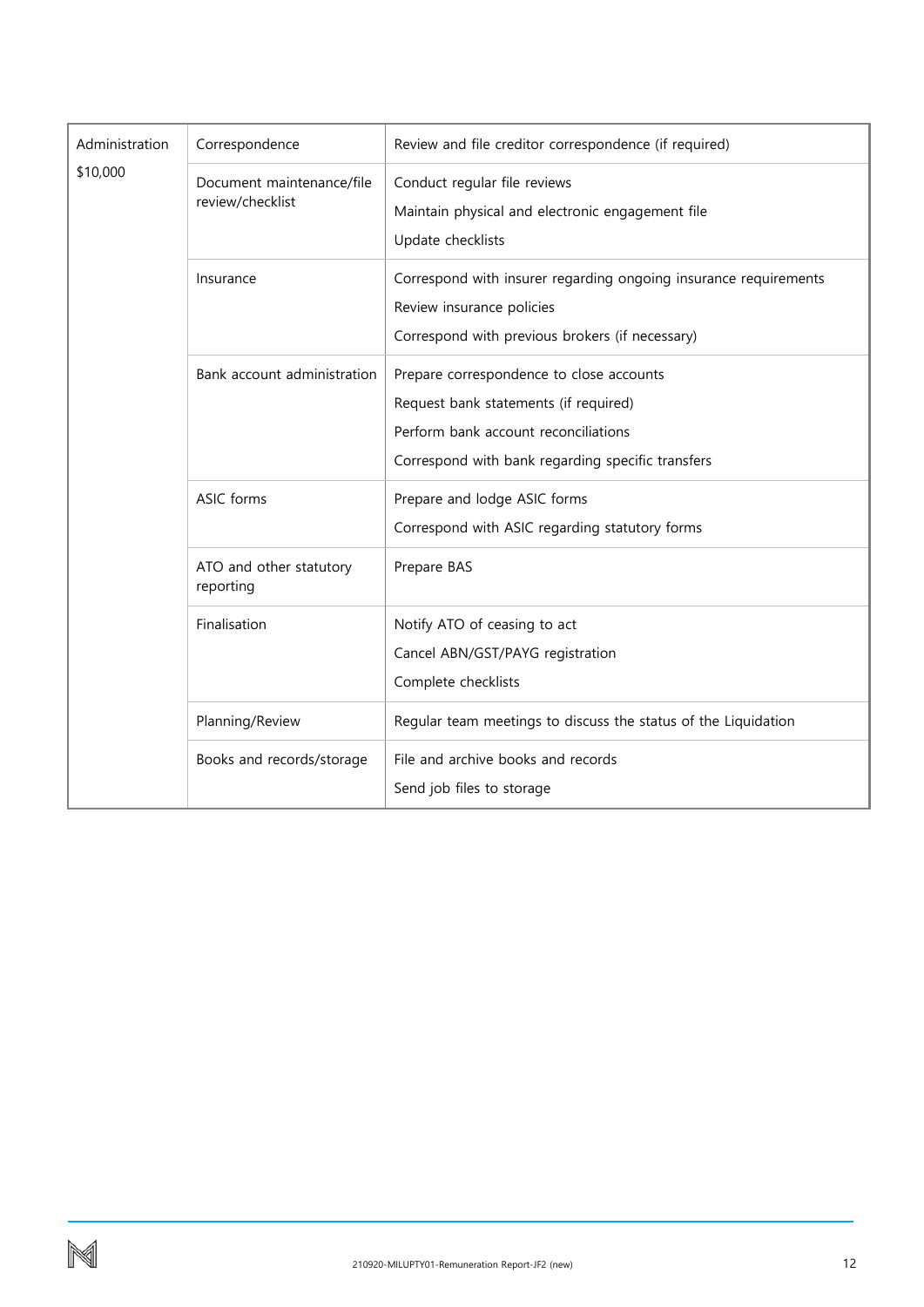| Administration | Correspondence                                | Review and file creditor correspondence (if required)                                                                                                                          |  |  |  |  |
|----------------|-----------------------------------------------|--------------------------------------------------------------------------------------------------------------------------------------------------------------------------------|--|--|--|--|
| \$10,000       | Document maintenance/file<br>review/checklist | Conduct regular file reviews<br>Maintain physical and electronic engagement file<br>Update checklists                                                                          |  |  |  |  |
|                | Insurance                                     | Correspond with insurer regarding ongoing insurance requirements<br>Review insurance policies<br>Correspond with previous brokers (if necessary)                               |  |  |  |  |
|                | Bank account administration                   | Prepare correspondence to close accounts<br>Request bank statements (if required)<br>Perform bank account reconciliations<br>Correspond with bank regarding specific transfers |  |  |  |  |
|                | ASIC forms                                    | Prepare and lodge ASIC forms<br>Correspond with ASIC regarding statutory forms                                                                                                 |  |  |  |  |
|                | ATO and other statutory<br>reporting          | Prepare BAS                                                                                                                                                                    |  |  |  |  |
|                | Finalisation                                  | Notify ATO of ceasing to act<br>Cancel ABN/GST/PAYG registration<br>Complete checklists                                                                                        |  |  |  |  |
|                | Planning/Review                               | Regular team meetings to discuss the status of the Liquidation                                                                                                                 |  |  |  |  |
|                | Books and records/storage                     | File and archive books and records<br>Send job files to storage                                                                                                                |  |  |  |  |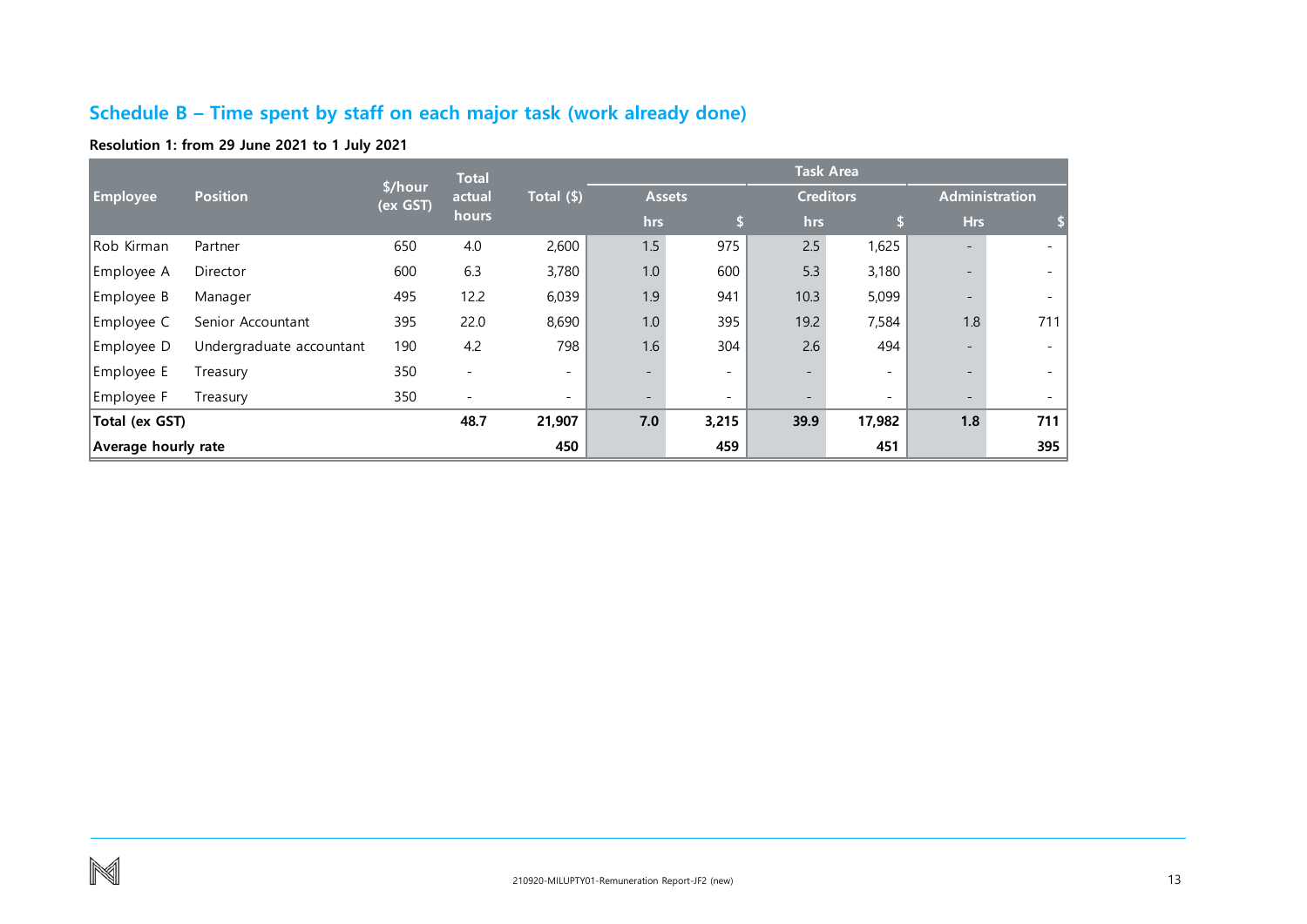# **Schedule B – Time spent by staff on each major task (work already done)**

# **Resolution 1: from 29 June 2021 to 1 July 2021**

<span id="page-13-0"></span>

|                     |                          |                     | <b>Total</b>             |                          | <b>Task Area</b>         |                          |      |                          |                          |     |
|---------------------|--------------------------|---------------------|--------------------------|--------------------------|--------------------------|--------------------------|------|--------------------------|--------------------------|-----|
| <b>Employee</b>     | <b>Position</b>          | \$/hour<br>(ex GST) | actual                   | Total (\$)               |                          | <b>Assets</b>            |      | <b>Creditors</b>         | <b>Administration</b>    |     |
|                     |                          |                     | hours                    |                          | hrs                      | Ś                        | hrs  |                          | Hrs                      |     |
| Rob Kirman          | Partner                  | 650                 | 4.0                      | 2,600                    | 1.5                      | 975                      | 2.5  | 1,625                    | $\overline{\phantom{0}}$ |     |
| Employee A          | Director                 | 600                 | 6.3                      | 3,780                    | 1.0                      | 600                      | 5.3  | 3,180                    | $\overline{\phantom{0}}$ |     |
| Employee B          | Manager                  | 495                 | 12.2                     | 6,039                    | 1.9                      | 941                      | 10.3 | 5,099                    |                          |     |
| Employee C          | Senior Accountant        | 395                 | 22.0                     | 8,690                    | 1.0                      | 395                      | 19.2 | 7,584                    | 1.8                      | 711 |
| Employee D          | Undergraduate accountant | 190                 | 4.2                      | 798                      | 1.6                      | 304                      | 2.6  | 494                      | $\overline{\phantom{0}}$ |     |
| Employee E          | Treasury                 | 350                 | $\overline{\phantom{a}}$ | $\overline{\phantom{a}}$ | $\overline{\phantom{a}}$ | $\overline{\phantom{a}}$ |      | $\overline{\phantom{a}}$ |                          |     |
| Employee F          | Treasury                 | 350                 | $\overline{\phantom{a}}$ | $\overline{\phantom{a}}$ | $\overline{\phantom{a}}$ | $\overline{\phantom{a}}$ |      | $\overline{\phantom{a}}$ | $\overline{\phantom{0}}$ |     |
| Total (ex GST)      |                          |                     | 48.7                     | 21,907                   | 7.0                      | 3,215                    | 39.9 | 17,982                   | 1.8                      | 711 |
| Average hourly rate |                          |                     |                          | 450                      |                          | 459                      |      | 451                      |                          | 395 |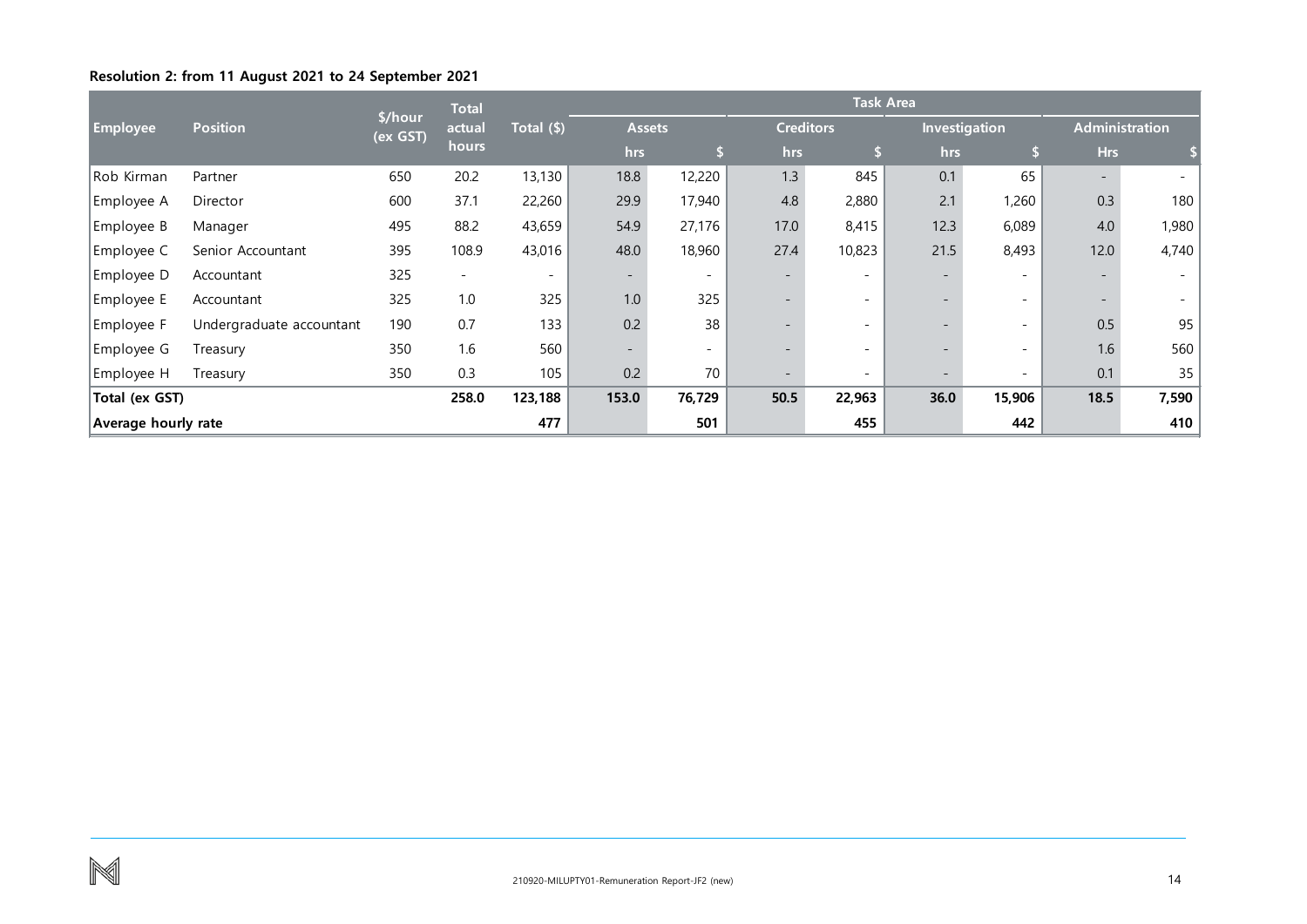## **Resolution 2: from 11 August 2021 to 24 September 2021**

<span id="page-14-0"></span>

|                 |                          |                     | <b>Total</b>             |                          | <b>Task Area</b>         |                          |      |                          |                          |                          |                          |       |
|-----------------|--------------------------|---------------------|--------------------------|--------------------------|--------------------------|--------------------------|------|--------------------------|--------------------------|--------------------------|--------------------------|-------|
| <b>Employee</b> | <b>Position</b>          | \$/hour<br>(ex GST) | actual                   | Total (\$)               | <b>Assets</b>            |                          |      | <b>Creditors</b>         |                          | Investigation            | <b>Administration</b>    |       |
|                 |                          |                     | hours                    |                          | hrs                      |                          | hrs  |                          | hrs                      |                          | <b>Hrs</b>               |       |
| Rob Kirman      | Partner                  | 650                 | 20.2                     | 13,130                   | 18.8                     | 12,220                   | 1.3  | 845                      | 0.1                      | 65                       | $\sim$                   |       |
| Employee A      | Director                 | 600                 | 37.1                     | 22,260                   | 29.9                     | 17,940                   | 4.8  | 2,880                    | 2.1                      | 1,260                    | 0.3                      | 180   |
| Employee B      | Manager                  | 495                 | 88.2                     | 43,659                   | 54.9                     | 27,176                   | 17.0 | 8,415                    | 12.3                     | 6,089                    | 4.0                      | 1,980 |
| Employee C      | Senior Accountant        | 395                 | 108.9                    | 43,016                   | 48.0                     | 18,960                   | 27.4 | 10,823                   | 21.5                     | 8,493                    | 12.0                     | 4,740 |
| Employee D      | Accountant               | 325                 | $\overline{\phantom{a}}$ | $\overline{\phantom{a}}$ | $\overline{\phantom{a}}$ | $\overline{\phantom{0}}$ |      | $\overline{\phantom{a}}$ |                          | $\overline{\phantom{0}}$ | $\overline{\phantom{a}}$ |       |
| Employee E      | Accountant               | 325                 | 1.0                      | 325                      | 1.0                      | 325                      |      | $\overline{\phantom{a}}$ | $\overline{\phantom{0}}$ | $\overline{\phantom{0}}$ | $\overline{\phantom{0}}$ |       |
| Employee F      | Undergraduate accountant | 190                 | 0.7                      | 133                      | 0.2                      | 38                       |      | $\overline{\phantom{a}}$ | $\overline{\phantom{0}}$ | $\overline{\phantom{a}}$ | 0.5                      | 95    |
| Employee G      | Treasury                 | 350                 | 1.6                      | 560                      | $\overline{\phantom{a}}$ | $\overline{\phantom{0}}$ |      | $\overline{\phantom{a}}$ |                          | $\overline{\phantom{0}}$ | 1.6                      | 560   |
| Employee H      | Treasury                 | 350                 | 0.3                      | 105                      | 0.2                      | 70                       |      | $\overline{\phantom{a}}$ | $\overline{\phantom{0}}$ | $\qquad \qquad -$        | 0.1                      | 35    |
| Total (ex GST)  |                          |                     | 258.0                    | 123,188                  | 153.0                    | 76,729                   | 50.5 | 22,963                   | 36.0                     | 15,906                   | 18.5                     | 7,590 |
|                 | Average hourly rate      |                     |                          | 477                      |                          | 501                      |      | 455                      |                          | 442                      |                          | 410   |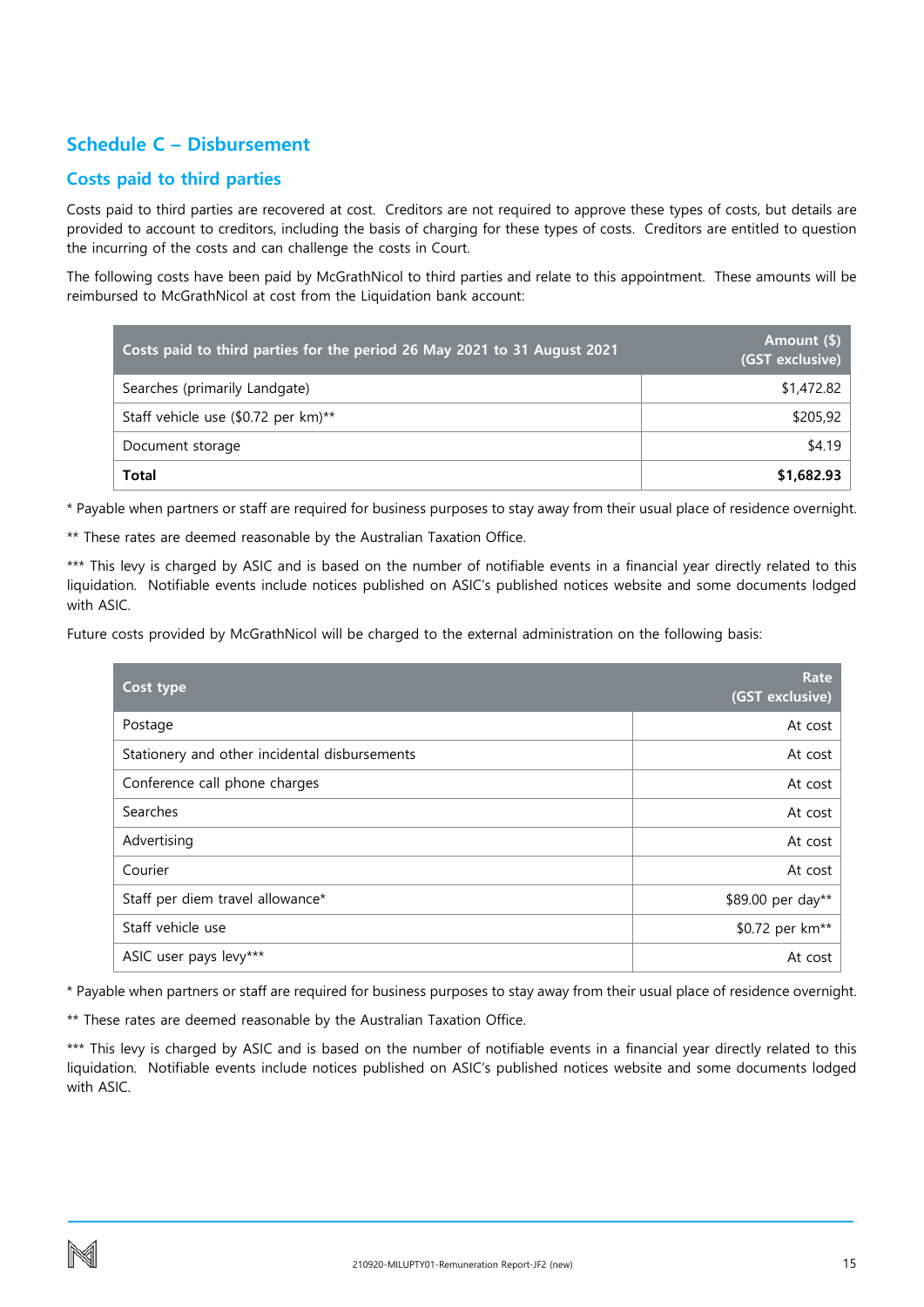# **Schedule C – Disbursement**

# **Costs paid to third parties**

Costs paid to third parties are recovered at cost. Creditors are not required to approve these types of costs, but details are provided to account to creditors, including the basis of charging for these types of costs. Creditors are entitled to question the incurring of the costs and can challenge the costs in Court.

The following costs have been paid by McGrathNicol to third parties and relate to this appointment. These amounts will be reimbursed to McGrathNicol at cost from the Liquidation bank account:

| Costs paid to third parties for the period 26 May 2021 to 31 August 2021 | Amount (\$)<br>(GST exclusive) |
|--------------------------------------------------------------------------|--------------------------------|
| Searches (primarily Landgate)                                            | \$1,472.82                     |
| Staff vehicle use (\$0.72 per km)**                                      | \$205,92                       |
| Document storage                                                         | \$4.19                         |
| Total                                                                    | \$1,682.93                     |

\* Payable when partners or staff are required for business purposes to stay away from their usual place of residence overnight.

\*\* These rates are deemed reasonable by the Australian Taxation Office.

\*\*\* This levy is charged by ASIC and is based on the number of notifiable events in a financial year directly related to this liquidation. Notifiable events include notices published on ASIC's published notices website and some documents lodged with ASIC.

Future costs provided by McGrathNicol will be charged to the external administration on the following basis:

| Cost type                                     | Rate<br>(GST exclusive)     |
|-----------------------------------------------|-----------------------------|
| Postage                                       | At cost                     |
| Stationery and other incidental disbursements | At cost                     |
| Conference call phone charges                 | At cost                     |
| Searches                                      | At cost                     |
| Advertising                                   | At cost                     |
| Courier                                       | At cost                     |
| Staff per diem travel allowance*              | \$89.00 per day**           |
| Staff vehicle use                             | \$0.72 per km <sup>**</sup> |
| ASIC user pays levy***                        | At cost                     |

\* Payable when partners or staff are required for business purposes to stay away from their usual place of residence overnight.

\*\* These rates are deemed reasonable by the Australian Taxation Office.

\*\*\* This levy is charged by ASIC and is based on the number of notifiable events in a financial year directly related to this liquidation. Notifiable events include notices published on ASIC's published notices website and some documents lodged with ASIC.